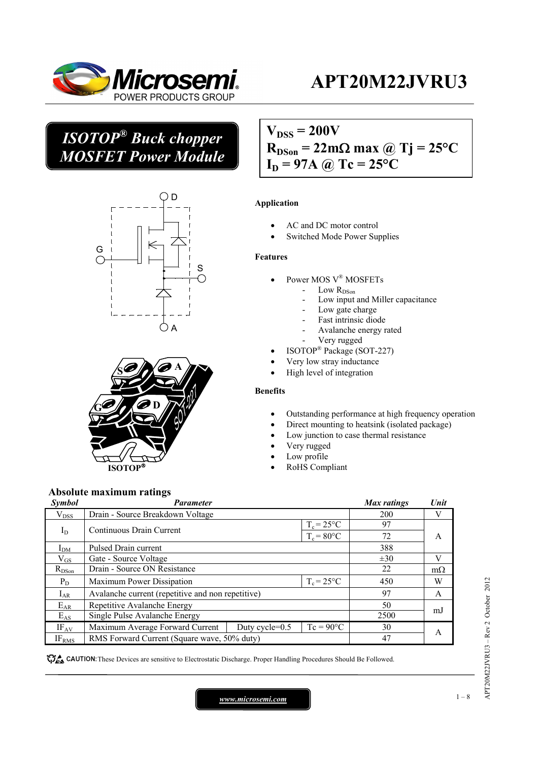

## *ISOTOP® Buck chopper MOSFET Power Module*





 $V_{DSS} = 200V$  $R_{DSon} = 22m\Omega$  max @ Tj = 25<sup>o</sup>C  $I_D = 97A$  @ Tc = 25<sup>o</sup>C

#### **Application**

- AC and DC motor control
- Switched Mode Power Supplies

#### **Features**

- Power MOS V® MOSFETs
	- $\rm Low\ R_{DSon}$ 
		- Low input and Miller capacitance
		- Low gate charge
	- Fast intrinsic diode
	- Avalanche energy rated
	- Very rugged
- ISOTOP® Package (SOT-227)
- Very low stray inductance
- High level of integration

#### **Benefits**

- Outstanding performance at high frequency operation
- Direct mounting to heatsink (isolated package)
- Low junction to case thermal resistance
- Very rugged
- Low profile
- RoHS Compliant

#### **Absolute maximum ratings**

| <b>Symbol</b>     | <b>Parameter</b>                                  |                   |                    | <b>Max</b> ratings | Unit      |
|-------------------|---------------------------------------------------|-------------------|--------------------|--------------------|-----------|
| $\rm V_{DSS}$     | Drain - Source Breakdown Voltage                  |                   |                    | 200                | V         |
|                   | $T_c = 25$ °C<br>Continuous Drain Current         |                   | 97                 | A                  |           |
| $I_D$             |                                                   | $T_c = 80$ °C     | 72                 |                    |           |
| I <sub>DM</sub>   | Pulsed Drain current                              |                   |                    | 388                |           |
| $\rm V_{GS}$      | Gate - Source Voltage                             |                   |                    | $\pm 30$           | V         |
| $R_{DSon}$        | Drain - Source ON Resistance                      |                   |                    | 22                 | $m\Omega$ |
| $P_D$             | $T_c = 25$ °C<br>Maximum Power Dissipation        |                   |                    | 450                | W         |
| $I_{AR}$          | Avalanche current (repetitive and non repetitive) |                   |                    | 97                 | A         |
| $E_{AR}$          | Repetitive Avalanche Energy                       |                   |                    | 50                 | mJ        |
| $E_{AS}$          | Single Pulse Avalanche Energy                     |                   |                    | 2500               |           |
| $IF_{AV}$         | Maximum Average Forward Current                   | Duty cycle= $0.5$ | $Tc = 90^{\circ}C$ | 30                 | A         |
| IF <sub>RMS</sub> | RMS Forward Current (Square wave, 50% duty)       |                   |                    | 47                 |           |

CAUTION: These Devices are sensitive to Electrostatic Discharge. Proper Handling Procedures Should Be Followed.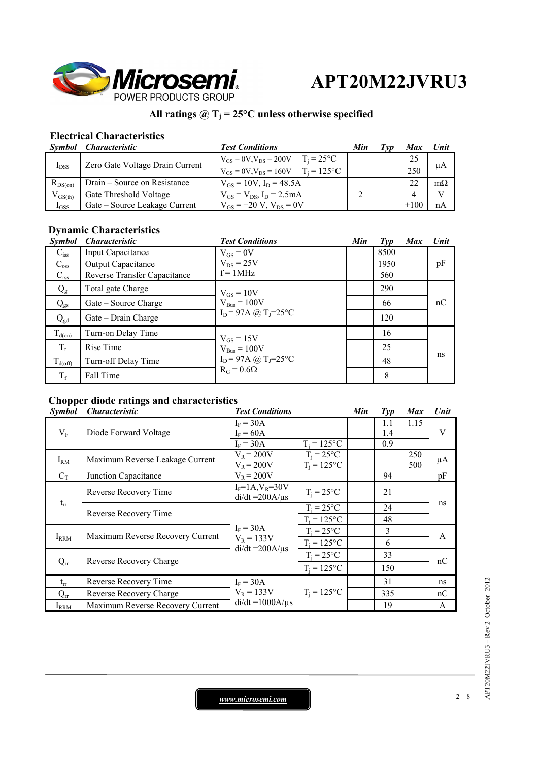

## All ratings  $@T_j = 25°C$  unless otherwise specified

### **Electrical Characteristics**

|              | Symbol Characteristic           | <b>Test Conditions</b>                          |                     | Min | ľvv | <b>Max</b> | Unit      |
|--------------|---------------------------------|-------------------------------------------------|---------------------|-----|-----|------------|-----------|
| $I_{DSS}$    | Zero Gate Voltage Drain Current | $V_{GS} = 0V$ , $V_{DS} = 200V$                 | $T_i = 25^{\circ}C$ |     |     | 25         | μA        |
|              |                                 | $V_{GS} = 0V$ , $V_{DS} = 160V$   $T_i = 125°C$ |                     |     |     | 250        |           |
| $R_{DS(on)}$ | Drain – Source on Resistance    | $V_{GS} = 10V$ , $I_D = 48.5A$                  |                     |     |     | 22         | $m\Omega$ |
| $V_{GS(th)}$ | Gate Threshold Voltage          | $V_{GS} = V_{DS}$ , $I_D = 2.5 mA$              |                     |     |     |            | V         |
| $I_{GSS}$    | Gate – Source Leakage Current   | $V_{GS} = \pm 20 V$ , $V_{DS} = 0V$             |                     |     |     | $\pm 100$  | nA        |

### **Dynamic Characteristics**

| <b>Symbol</b>       | <i><b>Characteristic</b></i> | <b>Test Conditions</b>                                                        | Min | $\mathcal{I}yp$ | <b>Max</b> | Unit |
|---------------------|------------------------------|-------------------------------------------------------------------------------|-----|-----------------|------------|------|
| $C_{iss}$           | <b>Input Capacitance</b>     | $V_{GS} = 0V$                                                                 |     | 8500            |            |      |
| $C_{\rm oss}$       | <b>Output Capacitance</b>    | $V_{DS}$ = 25V                                                                |     | 1950            |            | pF   |
| $C_{\rm rss}$       | Reverse Transfer Capacitance | $f = 1MHz$                                                                    |     | 560             |            |      |
| $Q_{g}$             | Total gate Charge            | $V_{GS} = 10V$                                                                |     | 290             |            |      |
| $Q_{gs}$            | Gate – Source Charge         | $V_{\text{Bus}} = 100V$<br>$I_D = 97A$ (a) $T_J = 25^{\circ}C$                |     | 66              |            | nC   |
| $Q_{gd}$            | Gate – Drain Charge          |                                                                               |     | 120             |            |      |
| $T_{d(0n)}$         | Turn-on Delay Time           | $V_{GS} = 15V$                                                                |     | 16              |            |      |
| $T_r$               | Rise Time                    | $V_{\text{Bus}} = 100V$<br>$I_D = 97A$ (a) $T_J = 25$ °C<br>$R_G = 0.6\Omega$ |     | 25              |            |      |
| $T_{\text{d(off)}}$ | Turn-off Delay Time          |                                                                               |     | 48              |            | ns   |
| $T_f$               | Fall Time                    |                                                                               |     | 8               |            |      |

### **Chopper diode ratings and characteristics**

| <i>Symbol</i> | <i><b>Characteristic</b></i>     | <b>Test Conditions</b>                               |                | Min | $\mathcal{I}yp$ | <b>Max</b> | Unit         |
|---------------|----------------------------------|------------------------------------------------------|----------------|-----|-----------------|------------|--------------|
| $V_{\rm F}$   | Diode Forward Voltage            | $I_F = 30A$                                          |                |     | 1.1             | 1.15       |              |
|               |                                  | $I_F = 60A$                                          |                |     | 1.4             |            | V            |
|               |                                  | $I_F = 30A$                                          | $T_i = 125$ °C |     | 0.9             |            |              |
| $I_{RM}$      | Maximum Reverse Leakage Current  | $V_R = 200V$                                         | $T_i = 25$ °C  |     |                 | 250        | μA           |
|               |                                  | $V_R = 200V$                                         | $T_i = 125$ °C |     |                 | 500        |              |
| $C_T$         | Junction Capacitance             | $V_R = 200V$                                         |                |     | 94              |            | pF           |
|               | Reverse Recovery Time            | $I_F = 1A, V_R = 30V$                                | $T_i = 25$ °C  | 21  |                 |            |              |
| $t_{rr}$      |                                  | $di/dt = 200A/\mu s$                                 |                |     |                 |            | ns           |
|               | Reverse Recovery Time            | $I_F = 30A$<br>$V_R = 133V$<br>$di/dt = 200A/\mu s$  | $T_i = 25$ °C  |     | 24              |            | $\mathsf{A}$ |
|               |                                  |                                                      | $T_i = 125$ °C |     | 48              |            |              |
| $I_{RRM}$     | Maximum Reverse Recovery Current |                                                      | $T_i = 25$ °C  |     | 3               |            |              |
|               |                                  |                                                      | $T_i = 125$ °C |     | 6               |            |              |
| $Q_{rr}$      | Reverse Recovery Charge          |                                                      | $T_i = 25$ °C  |     | 33              |            | nC           |
|               |                                  |                                                      | $T_i = 125$ °C |     | 150             |            |              |
| $t_{rr}$      | Reverse Recovery Time            | $I_F = 30A$<br>$V_R = 133V$<br>$di/dt = 1000A/\mu s$ |                |     | 31              |            | ns           |
| $Q_{rr}$      | Reverse Recovery Charge          |                                                      | $T_i = 125$ °C |     | 335             |            | nC           |
| $I_{RRM}$     | Maximum Reverse Recovery Current |                                                      |                |     | 19              |            | A            |

*www.microsemi.com* 2 – 8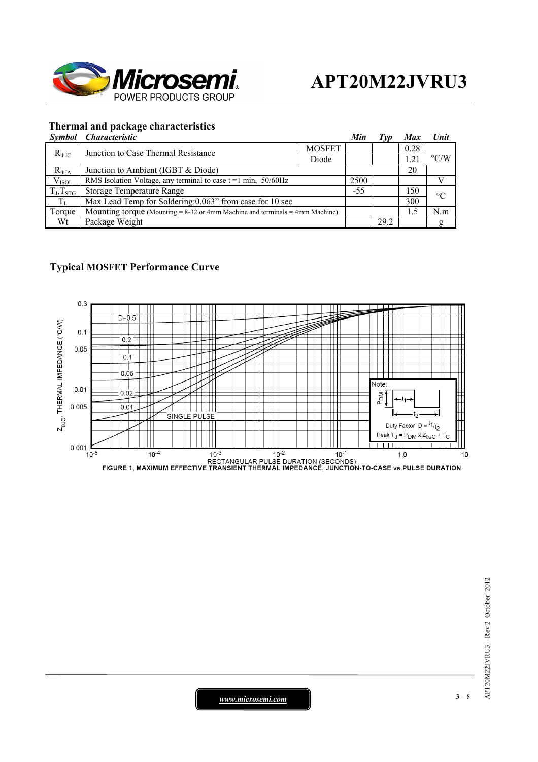

#### **Thermal and package characteristics**

| Symbol | <i>Characteristic</i> |  |
|--------|-----------------------|--|

|                                                   | Symbol Characteristic                                                             |  | Min   | Tvp  | <b>Max</b>         | Unit            |  |
|---------------------------------------------------|-----------------------------------------------------------------------------------|--|-------|------|--------------------|-----------------|--|
| $R_{thJC}$<br>Junction to Case Thermal Resistance | <b>MOSFET</b>                                                                     |  |       | 0.28 |                    |                 |  |
|                                                   | Diode                                                                             |  |       | 1.21 | $\rm ^{\circ} C/W$ |                 |  |
| $R_{thJA}$                                        | Junction to Ambient (IGBT & Diode)                                                |  |       |      | 20                 |                 |  |
| V <sub>ISOL</sub>                                 | RMS Isolation Voltage, any terminal to case $t = 1$ min, 50/60Hz                  |  | 2500  |      |                    |                 |  |
| $T_J, T_{STG}$                                    | Storage Temperature Range                                                         |  | $-55$ |      | 150                | $\rm ^{\circ}C$ |  |
| $T_{\rm L}$                                       | Max Lead Temp for Soldering: 0.063" from case for 10 sec                          |  |       |      | 300                |                 |  |
| Torque                                            | Mounting torque (Mounting $= 8-32$ or 4mm Machine and terminals $= 4$ mm Machine) |  |       |      | 1.5                | N.m             |  |
| Wt                                                | Package Weight                                                                    |  |       | 29.2 |                    | g               |  |

### **Typical MOSFET Performance Curve**

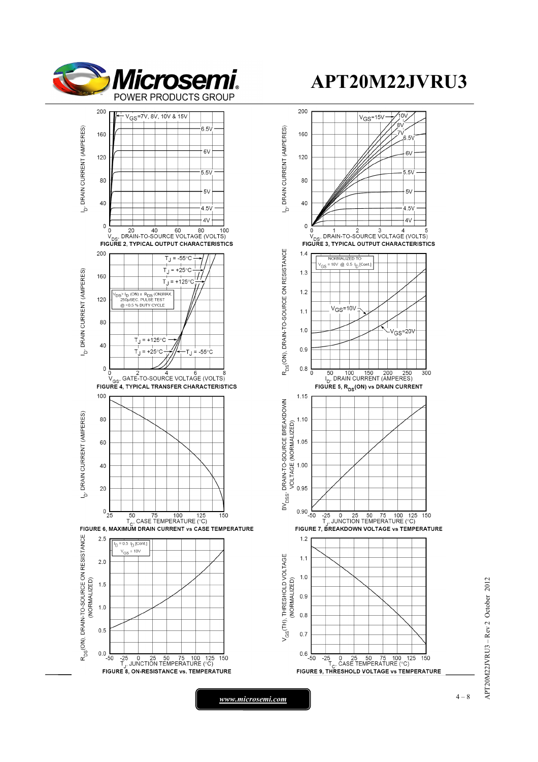



*www.microsemi.com* **1** and 2 and 2 and 3 and 4 - 8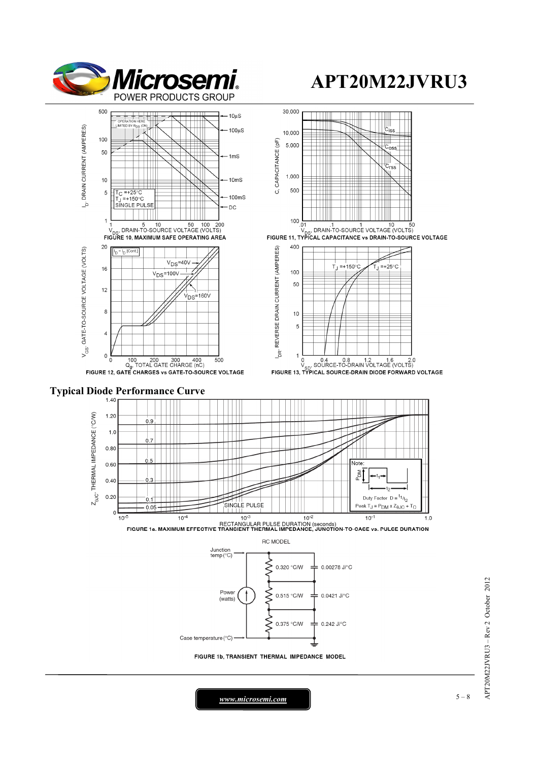













*www.microsemi.com* **1** and 200 and 200 and 3 – 8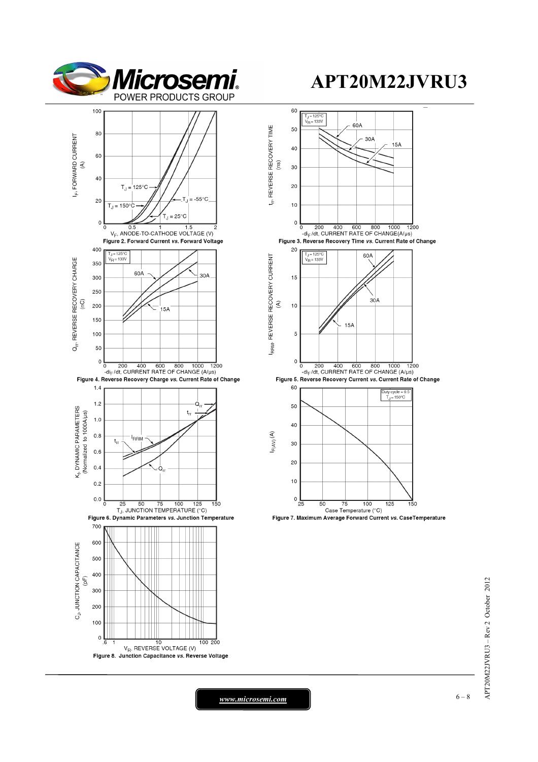



 $APT20M22JVRU3 - Rev 2 October 2012$ APT20M22JVRU3 – Rev 2 October 2012

*www.microsemi.com* **6 – 8**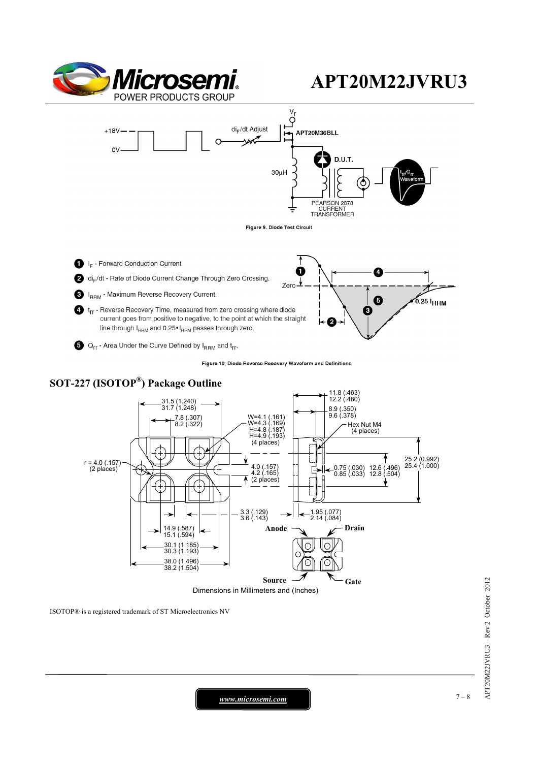

B

 $\boldsymbol{e}$ 



- <sup>1</sup> t<sub>rr</sub> Reverse Recovery Time, measured from zero crossing where diode current goes from positive to negative, to the point at which the straight line through IRRM and 0.25 · IRRM passes through zero.
- $\bigodot$  Q<sub>rr</sub> Area Under the Curve Defined by I<sub>RRM</sub> and t<sub>rr</sub>.

Figure 10, Diode Reverse Recovery Waveform and Definitions



*www.microsemi.com* **7-8**